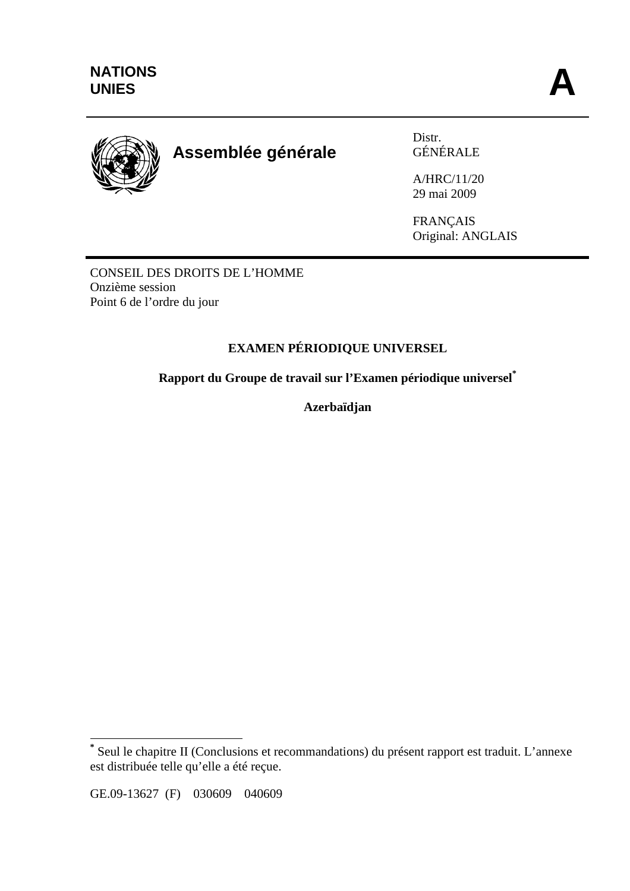

# **Assemblée générale**

Distr. GÉNÉRALE

A/HRC/11/20 29 mai 2009

FRANÇAIS Original: ANGLAIS

CONSEIL DES DROITS DE L'HOMME Onzième session Point 6 de l'ordre du jour

## **EXAMEN PÉRIODIQUE UNIVERSEL**

**Rapport du Groupe de travail sur l'Examen périodique universel\***

**Azerbaïdjan** 

GE.09-13627 (F) 030609 040609

 $\overline{a}$ 

**<sup>\*</sup>** Seul le chapitre II (Conclusions et recommandations) du présent rapport est traduit. L'annexe est distribuée telle qu'elle a été reçue.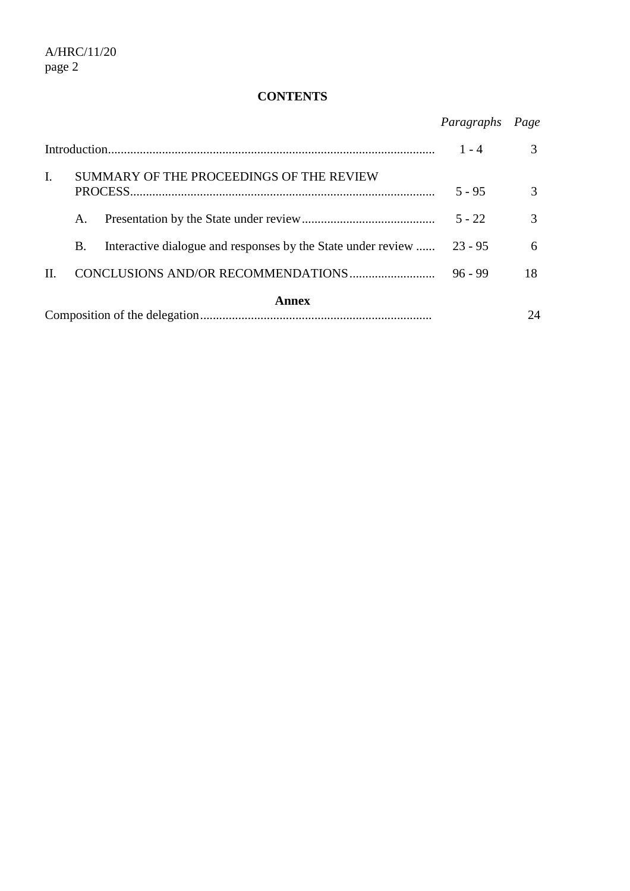#### **CONTENTS**

|       |                                          |                                                              | Paragraphs | Page          |
|-------|------------------------------------------|--------------------------------------------------------------|------------|---------------|
|       |                                          |                                                              | $1 - 4$    | $\mathcal{R}$ |
| I.    | SUMMARY OF THE PROCEEDINGS OF THE REVIEW |                                                              | $5 - 95$   | 3             |
|       | A.                                       |                                                              | $5 - 22$   | $\mathcal{R}$ |
|       | B.                                       | Interactive dialogue and responses by the State under review | $23 - 95$  | 6             |
| П.    |                                          |                                                              | $96 - 99$  | 18            |
| Annex |                                          |                                                              |            |               |
|       |                                          |                                                              |            | 24            |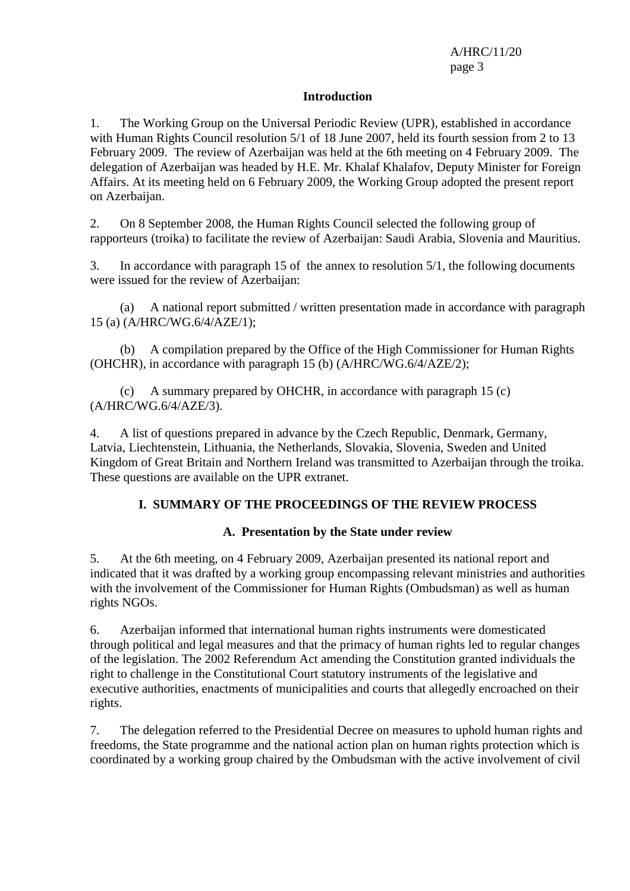#### **Introduction**

1. The Working Group on the Universal Periodic Review (UPR), established in accordance with Human Rights Council resolution 5/1 of 18 June 2007, held its fourth session from 2 to 13 February 2009. The review of Azerbaijan was held at the 6th meeting on 4 February 2009. The delegation of Azerbaijan was headed by H.E. Mr. Khalaf Khalafov, Deputy Minister for Foreign Affairs. At its meeting held on 6 February 2009, the Working Group adopted the present report on Azerbaijan.

2. On 8 September 2008, the Human Rights Council selected the following group of rapporteurs (troika) to facilitate the review of Azerbaijan: Saudi Arabia, Slovenia and Mauritius.

3. In accordance with paragraph 15 of the annex to resolution 5/1, the following documents were issued for the review of Azerbaijan:

(a) A national report submitted / written presentation made in accordance with paragraph 15 (a) (A/HRC/WG.6/4/AZE/1);

(b) A compilation prepared by the Office of the High Commissioner for Human Rights (OHCHR), in accordance with paragraph 15 (b) (A/HRC/WG.6/4/AZE/2);

(c) A summary prepared by OHCHR, in accordance with paragraph 15 (c) (A/HRC/WG.6/4/AZE/3).

4. A list of questions prepared in advance by the Czech Republic, Denmark, Germany, Latvia, Liechtenstein, Lithuania, the Netherlands, Slovakia, Slovenia, Sweden and United Kingdom of Great Britain and Northern Ireland was transmitted to Azerbaijan through the troika. These questions are available on the UPR extranet.

#### **I. SUMMARY OF THE PROCEEDINGS OF THE REVIEW PROCESS**

#### **A. Presentation by the State under review**

5. At the 6th meeting, on 4 February 2009, Azerbaijan presented its national report and indicated that it was drafted by a working group encompassing relevant ministries and authorities with the involvement of the Commissioner for Human Rights (Ombudsman) as well as human rights NGOs.

6. Azerbaijan informed that international human rights instruments were domesticated through political and legal measures and that the primacy of human rights led to regular changes of the legislation. The 2002 Referendum Act amending the Constitution granted individuals the right to challenge in the Constitutional Court statutory instruments of the legislative and executive authorities, enactments of municipalities and courts that allegedly encroached on their rights.

7. The delegation referred to the Presidential Decree on measures to uphold human rights and freedoms, the State programme and the national action plan on human rights protection which is coordinated by a working group chaired by the Ombudsman with the active involvement of civil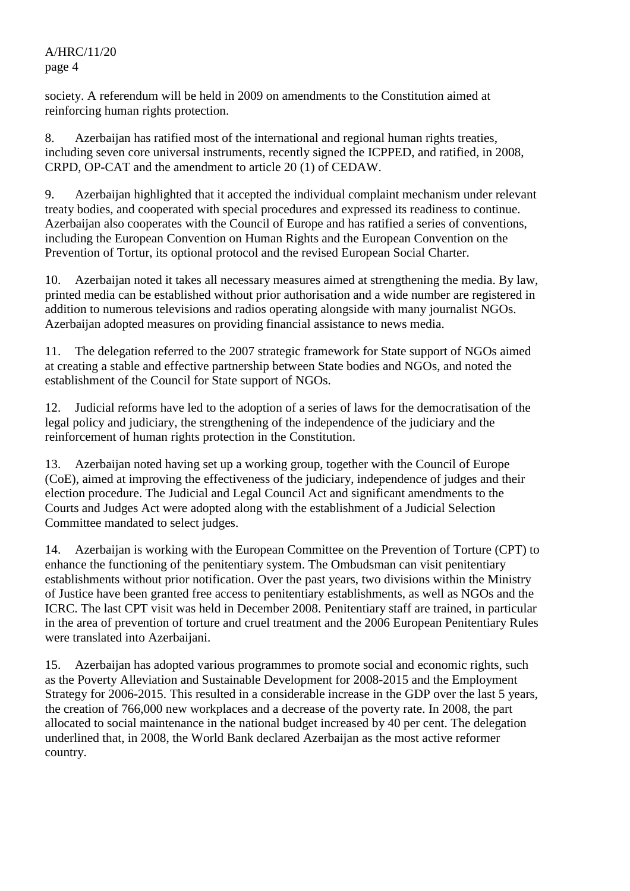society. A referendum will be held in 2009 on amendments to the Constitution aimed at reinforcing human rights protection.

8. Azerbaijan has ratified most of the international and regional human rights treaties, including seven core universal instruments, recently signed the ICPPED, and ratified, in 2008, CRPD, OP-CAT and the amendment to article 20 (1) of CEDAW.

9. Azerbaijan highlighted that it accepted the individual complaint mechanism under relevant treaty bodies, and cooperated with special procedures and expressed its readiness to continue. Azerbaijan also cooperates with the Council of Europe and has ratified a series of conventions, including the European Convention on Human Rights and the European Convention on the Prevention of Tortur, its optional protocol and the revised European Social Charter.

10. Azerbaijan noted it takes all necessary measures aimed at strengthening the media. By law, printed media can be established without prior authorisation and a wide number are registered in addition to numerous televisions and radios operating alongside with many journalist NGOs. Azerbaijan adopted measures on providing financial assistance to news media.

11. The delegation referred to the 2007 strategic framework for State support of NGOs aimed at creating a stable and effective partnership between State bodies and NGOs, and noted the establishment of the Council for State support of NGOs.

12. Judicial reforms have led to the adoption of a series of laws for the democratisation of the legal policy and judiciary, the strengthening of the independence of the judiciary and the reinforcement of human rights protection in the Constitution.

13. Azerbaijan noted having set up a working group, together with the Council of Europe (CoE), aimed at improving the effectiveness of the judiciary, independence of judges and their election procedure. The Judicial and Legal Council Act and significant amendments to the Courts and Judges Act were adopted along with the establishment of a Judicial Selection Committee mandated to select judges.

14. Azerbaijan is working with the European Committee on the Prevention of Torture (CPT) to enhance the functioning of the penitentiary system. The Ombudsman can visit penitentiary establishments without prior notification. Over the past years, two divisions within the Ministry of Justice have been granted free access to penitentiary establishments, as well as NGOs and the ICRC. The last CPT visit was held in December 2008. Penitentiary staff are trained, in particular in the area of prevention of torture and cruel treatment and the 2006 European Penitentiary Rules were translated into Azerbaijani.

15. Azerbaijan has adopted various programmes to promote social and economic rights, such as the Poverty Alleviation and Sustainable Development for 2008-2015 and the Employment Strategy for 2006-2015. This resulted in a considerable increase in the GDP over the last 5 years, the creation of 766,000 new workplaces and a decrease of the poverty rate. In 2008, the part allocated to social maintenance in the national budget increased by 40 per cent. The delegation underlined that, in 2008, the World Bank declared Azerbaijan as the most active reformer country.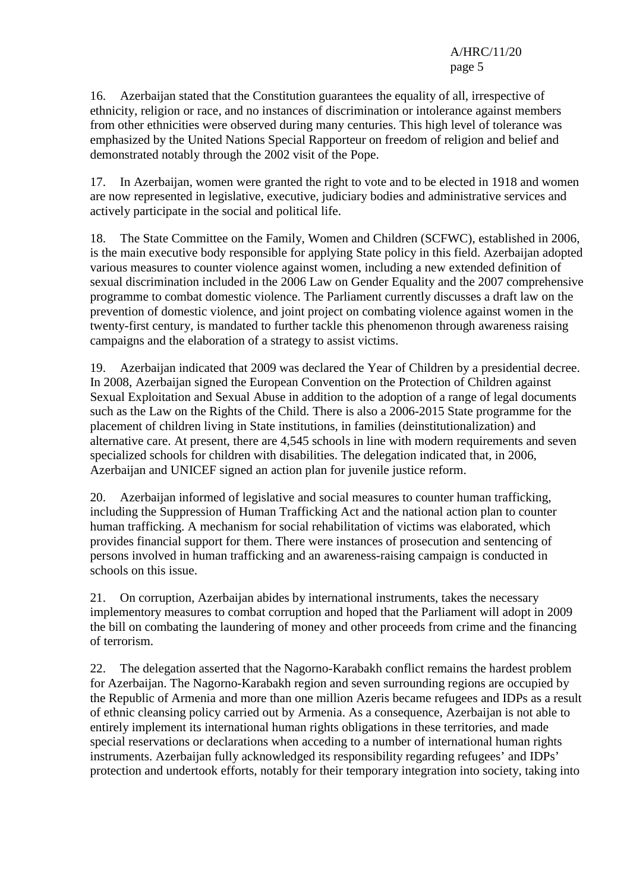16. Azerbaijan stated that the Constitution guarantees the equality of all, irrespective of ethnicity, religion or race, and no instances of discrimination or intolerance against members from other ethnicities were observed during many centuries. This high level of tolerance was emphasized by the United Nations Special Rapporteur on freedom of religion and belief and demonstrated notably through the 2002 visit of the Pope.

17. In Azerbaijan, women were granted the right to vote and to be elected in 1918 and women are now represented in legislative, executive, judiciary bodies and administrative services and actively participate in the social and political life.

18. The State Committee on the Family, Women and Children (SCFWC), established in 2006, is the main executive body responsible for applying State policy in this field. Azerbaijan adopted various measures to counter violence against women, including a new extended definition of sexual discrimination included in the 2006 Law on Gender Equality and the 2007 comprehensive programme to combat domestic violence. The Parliament currently discusses a draft law on the prevention of domestic violence, and joint project on combating violence against women in the twenty-first century, is mandated to further tackle this phenomenon through awareness raising campaigns and the elaboration of a strategy to assist victims.

19. Azerbaijan indicated that 2009 was declared the Year of Children by a presidential decree. In 2008, Azerbaijan signed the European Convention on the Protection of Children against Sexual Exploitation and Sexual Abuse in addition to the adoption of a range of legal documents such as the Law on the Rights of the Child. There is also a 2006-2015 State programme for the placement of children living in State institutions, in families (deinstitutionalization) and alternative care. At present, there are 4,545 schools in line with modern requirements and seven specialized schools for children with disabilities. The delegation indicated that, in 2006, Azerbaijan and UNICEF signed an action plan for juvenile justice reform.

20. Azerbaijan informed of legislative and social measures to counter human trafficking, including the Suppression of Human Trafficking Act and the national action plan to counter human trafficking. A mechanism for social rehabilitation of victims was elaborated, which provides financial support for them. There were instances of prosecution and sentencing of persons involved in human trafficking and an awareness-raising campaign is conducted in schools on this issue.

21. On corruption, Azerbaijan abides by international instruments, takes the necessary implementory measures to combat corruption and hoped that the Parliament will adopt in 2009 the bill on combating the laundering of money and other proceeds from crime and the financing of terrorism.

22. The delegation asserted that the Nagorno-Karabakh conflict remains the hardest problem for Azerbaijan. The Nagorno-Karabakh region and seven surrounding regions are occupied by the Republic of Armenia and more than one million Azeris became refugees and IDPs as a result of ethnic cleansing policy carried out by Armenia. As a consequence, Azerbaijan is not able to entirely implement its international human rights obligations in these territories, and made special reservations or declarations when acceding to a number of international human rights instruments. Azerbaijan fully acknowledged its responsibility regarding refugees' and IDPs' protection and undertook efforts, notably for their temporary integration into society, taking into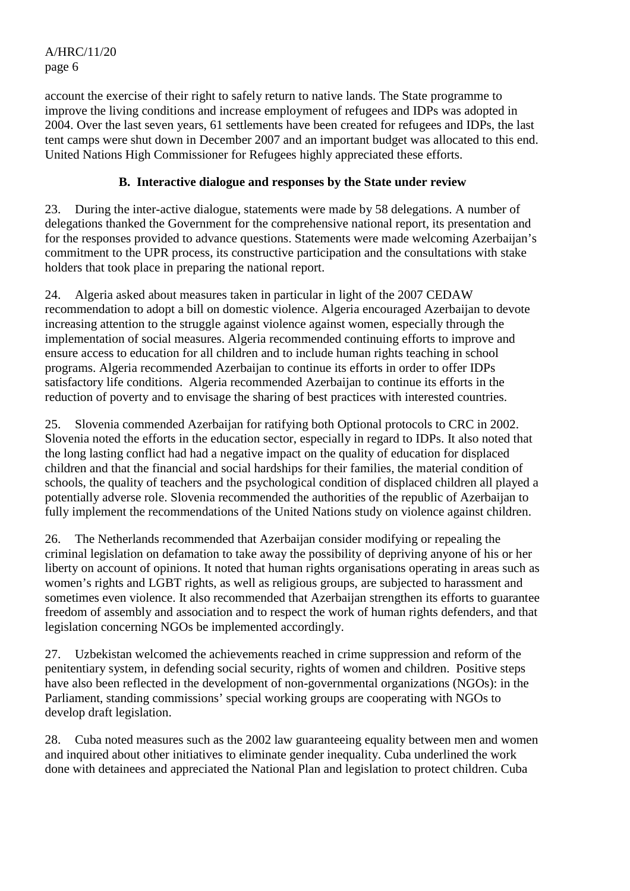account the exercise of their right to safely return to native lands. The State programme to improve the living conditions and increase employment of refugees and IDPs was adopted in 2004. Over the last seven years, 61 settlements have been created for refugees and IDPs, the last tent camps were shut down in December 2007 and an important budget was allocated to this end. United Nations High Commissioner for Refugees highly appreciated these efforts.

## **B. Interactive dialogue and responses by the State under review**

23. During the inter-active dialogue, statements were made by 58 delegations. A number of delegations thanked the Government for the comprehensive national report, its presentation and for the responses provided to advance questions. Statements were made welcoming Azerbaijan's commitment to the UPR process, its constructive participation and the consultations with stake holders that took place in preparing the national report.

24. Algeria asked about measures taken in particular in light of the 2007 CEDAW recommendation to adopt a bill on domestic violence. Algeria encouraged Azerbaijan to devote increasing attention to the struggle against violence against women, especially through the implementation of social measures. Algeria recommended continuing efforts to improve and ensure access to education for all children and to include human rights teaching in school programs. Algeria recommended Azerbaijan to continue its efforts in order to offer IDPs satisfactory life conditions. Algeria recommended Azerbaijan to continue its efforts in the reduction of poverty and to envisage the sharing of best practices with interested countries.

25. Slovenia commended Azerbaijan for ratifying both Optional protocols to CRC in 2002. Slovenia noted the efforts in the education sector, especially in regard to IDPs. It also noted that the long lasting conflict had had a negative impact on the quality of education for displaced children and that the financial and social hardships for their families, the material condition of schools, the quality of teachers and the psychological condition of displaced children all played a potentially adverse role. Slovenia recommended the authorities of the republic of Azerbaijan to fully implement the recommendations of the United Nations study on violence against children.

26. The Netherlands recommended that Azerbaijan consider modifying or repealing the criminal legislation on defamation to take away the possibility of depriving anyone of his or her liberty on account of opinions. It noted that human rights organisations operating in areas such as women's rights and LGBT rights, as well as religious groups, are subjected to harassment and sometimes even violence. It also recommended that Azerbaijan strengthen its efforts to guarantee freedom of assembly and association and to respect the work of human rights defenders, and that legislation concerning NGOs be implemented accordingly.

27. Uzbekistan welcomed the achievements reached in crime suppression and reform of the penitentiary system, in defending social security, rights of women and children. Positive steps have also been reflected in the development of non-governmental organizations (NGOs): in the Parliament, standing commissions' special working groups are cooperating with NGOs to develop draft legislation.

28. Cuba noted measures such as the 2002 law guaranteeing equality between men and women and inquired about other initiatives to eliminate gender inequality. Cuba underlined the work done with detainees and appreciated the National Plan and legislation to protect children. Cuba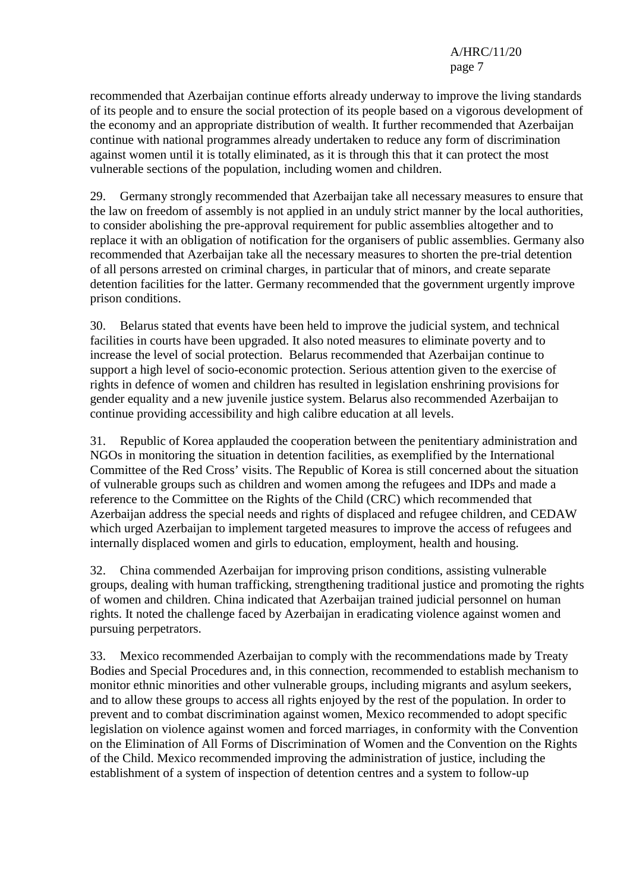recommended that Azerbaijan continue efforts already underway to improve the living standards of its people and to ensure the social protection of its people based on a vigorous development of the economy and an appropriate distribution of wealth. It further recommended that Azerbaijan continue with national programmes already undertaken to reduce any form of discrimination against women until it is totally eliminated, as it is through this that it can protect the most vulnerable sections of the population, including women and children.

29. Germany strongly recommended that Azerbaijan take all necessary measures to ensure that the law on freedom of assembly is not applied in an unduly strict manner by the local authorities, to consider abolishing the pre-approval requirement for public assemblies altogether and to replace it with an obligation of notification for the organisers of public assemblies. Germany also recommended that Azerbaijan take all the necessary measures to shorten the pre-trial detention of all persons arrested on criminal charges, in particular that of minors, and create separate detention facilities for the latter. Germany recommended that the government urgently improve prison conditions.

30. Belarus stated that events have been held to improve the judicial system, and technical facilities in courts have been upgraded. It also noted measures to eliminate poverty and to increase the level of social protection. Belarus recommended that Azerbaijan continue to support a high level of socio-economic protection. Serious attention given to the exercise of rights in defence of women and children has resulted in legislation enshrining provisions for gender equality and a new juvenile justice system. Belarus also recommended Azerbaijan to continue providing accessibility and high calibre education at all levels.

31. Republic of Korea applauded the cooperation between the penitentiary administration and NGOs in monitoring the situation in detention facilities, as exemplified by the International Committee of the Red Cross' visits. The Republic of Korea is still concerned about the situation of vulnerable groups such as children and women among the refugees and IDPs and made a reference to the Committee on the Rights of the Child (CRC) which recommended that Azerbaijan address the special needs and rights of displaced and refugee children, and CEDAW which urged Azerbaijan to implement targeted measures to improve the access of refugees and internally displaced women and girls to education, employment, health and housing.

32. China commended Azerbaijan for improving prison conditions, assisting vulnerable groups, dealing with human trafficking, strengthening traditional justice and promoting the rights of women and children. China indicated that Azerbaijan trained judicial personnel on human rights. It noted the challenge faced by Azerbaijan in eradicating violence against women and pursuing perpetrators.

33. Mexico recommended Azerbaijan to comply with the recommendations made by Treaty Bodies and Special Procedures and, in this connection, recommended to establish mechanism to monitor ethnic minorities and other vulnerable groups, including migrants and asylum seekers, and to allow these groups to access all rights enjoyed by the rest of the population. In order to prevent and to combat discrimination against women, Mexico recommended to adopt specific legislation on violence against women and forced marriages, in conformity with the Convention on the Elimination of All Forms of Discrimination of Women and the Convention on the Rights of the Child. Mexico recommended improving the administration of justice, including the establishment of a system of inspection of detention centres and a system to follow-up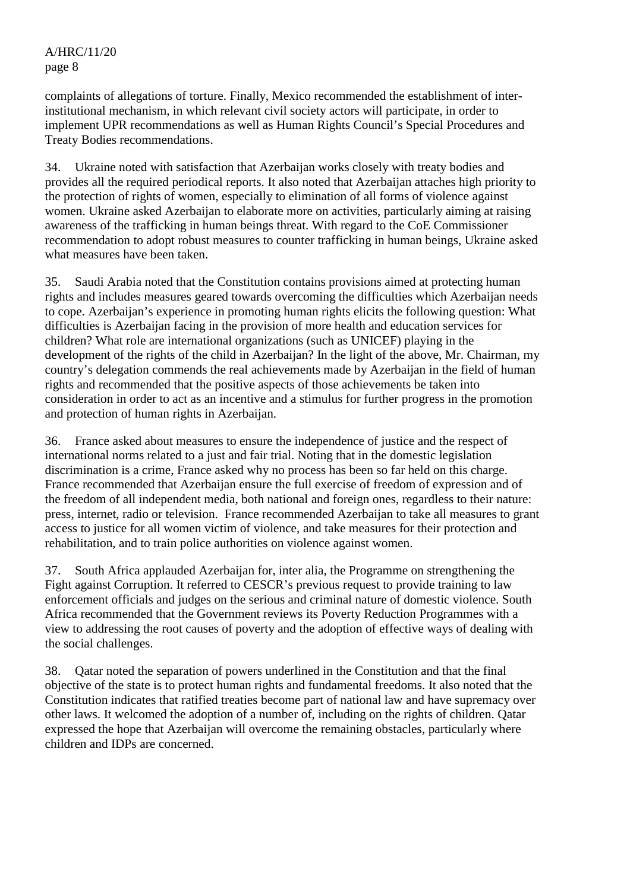complaints of allegations of torture. Finally, Mexico recommended the establishment of interinstitutional mechanism, in which relevant civil society actors will participate, in order to implement UPR recommendations as well as Human Rights Council's Special Procedures and Treaty Bodies recommendations.

34. Ukraine noted with satisfaction that Azerbaijan works closely with treaty bodies and provides all the required periodical reports. It also noted that Azerbaijan attaches high priority to the protection of rights of women, especially to elimination of all forms of violence against women. Ukraine asked Azerbaijan to elaborate more on activities, particularly aiming at raising awareness of the trafficking in human beings threat. With regard to the CoE Commissioner recommendation to adopt robust measures to counter trafficking in human beings, Ukraine asked what measures have been taken.

35. Saudi Arabia noted that the Constitution contains provisions aimed at protecting human rights and includes measures geared towards overcoming the difficulties which Azerbaijan needs to cope. Azerbaijan's experience in promoting human rights elicits the following question: What difficulties is Azerbaijan facing in the provision of more health and education services for children? What role are international organizations (such as UNICEF) playing in the development of the rights of the child in Azerbaijan? In the light of the above, Mr. Chairman, my country's delegation commends the real achievements made by Azerbaijan in the field of human rights and recommended that the positive aspects of those achievements be taken into consideration in order to act as an incentive and a stimulus for further progress in the promotion and protection of human rights in Azerbaijan.

36. France asked about measures to ensure the independence of justice and the respect of international norms related to a just and fair trial. Noting that in the domestic legislation discrimination is a crime, France asked why no process has been so far held on this charge. France recommended that Azerbaijan ensure the full exercise of freedom of expression and of the freedom of all independent media, both national and foreign ones, regardless to their nature: press, internet, radio or television. France recommended Azerbaijan to take all measures to grant access to justice for all women victim of violence, and take measures for their protection and rehabilitation, and to train police authorities on violence against women.

37. South Africa applauded Azerbaijan for, inter alia, the Programme on strengthening the Fight against Corruption. It referred to CESCR's previous request to provide training to law enforcement officials and judges on the serious and criminal nature of domestic violence. South Africa recommended that the Government reviews its Poverty Reduction Programmes with a view to addressing the root causes of poverty and the adoption of effective ways of dealing with the social challenges.

38. Qatar noted the separation of powers underlined in the Constitution and that the final objective of the state is to protect human rights and fundamental freedoms. It also noted that the Constitution indicates that ratified treaties become part of national law and have supremacy over other laws. It welcomed the adoption of a number of, including on the rights of children. Qatar expressed the hope that Azerbaijan will overcome the remaining obstacles, particularly where children and IDPs are concerned.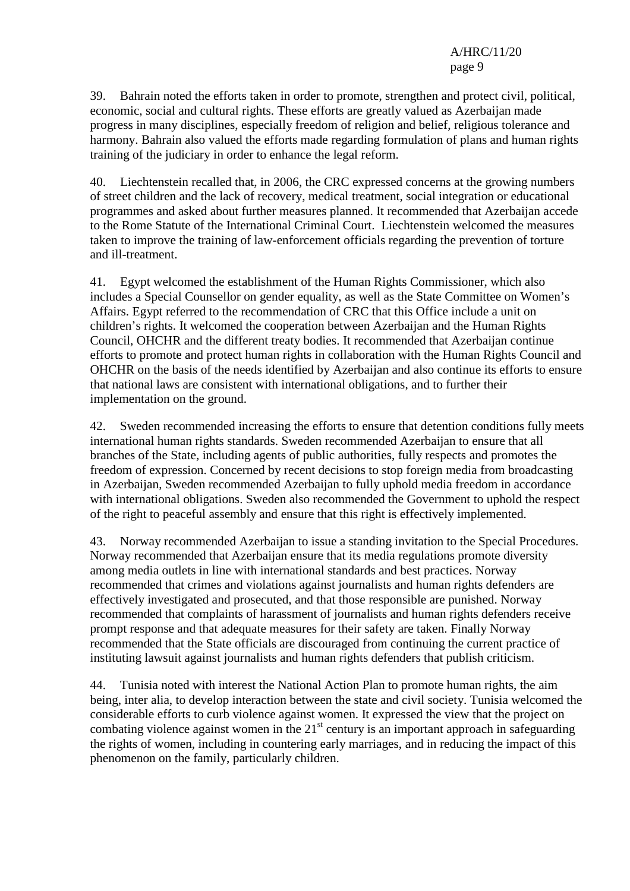39. Bahrain noted the efforts taken in order to promote, strengthen and protect civil, political, economic, social and cultural rights. These efforts are greatly valued as Azerbaijan made progress in many disciplines, especially freedom of religion and belief, religious tolerance and harmony. Bahrain also valued the efforts made regarding formulation of plans and human rights training of the judiciary in order to enhance the legal reform.

40. Liechtenstein recalled that, in 2006, the CRC expressed concerns at the growing numbers of street children and the lack of recovery, medical treatment, social integration or educational programmes and asked about further measures planned. It recommended that Azerbaijan accede to the Rome Statute of the International Criminal Court. Liechtenstein welcomed the measures taken to improve the training of law-enforcement officials regarding the prevention of torture and ill-treatment.

41. Egypt welcomed the establishment of the Human Rights Commissioner, which also includes a Special Counsellor on gender equality, as well as the State Committee on Women's Affairs. Egypt referred to the recommendation of CRC that this Office include a unit on children's rights. It welcomed the cooperation between Azerbaijan and the Human Rights Council, OHCHR and the different treaty bodies. It recommended that Azerbaijan continue efforts to promote and protect human rights in collaboration with the Human Rights Council and OHCHR on the basis of the needs identified by Azerbaijan and also continue its efforts to ensure that national laws are consistent with international obligations, and to further their implementation on the ground.

42. Sweden recommended increasing the efforts to ensure that detention conditions fully meets international human rights standards. Sweden recommended Azerbaijan to ensure that all branches of the State, including agents of public authorities, fully respects and promotes the freedom of expression. Concerned by recent decisions to stop foreign media from broadcasting in Azerbaijan, Sweden recommended Azerbaijan to fully uphold media freedom in accordance with international obligations. Sweden also recommended the Government to uphold the respect of the right to peaceful assembly and ensure that this right is effectively implemented.

43. Norway recommended Azerbaijan to issue a standing invitation to the Special Procedures. Norway recommended that Azerbaijan ensure that its media regulations promote diversity among media outlets in line with international standards and best practices. Norway recommended that crimes and violations against journalists and human rights defenders are effectively investigated and prosecuted, and that those responsible are punished. Norway recommended that complaints of harassment of journalists and human rights defenders receive prompt response and that adequate measures for their safety are taken. Finally Norway recommended that the State officials are discouraged from continuing the current practice of instituting lawsuit against journalists and human rights defenders that publish criticism.

44. Tunisia noted with interest the National Action Plan to promote human rights, the aim being, inter alia, to develop interaction between the state and civil society. Tunisia welcomed the considerable efforts to curb violence against women. It expressed the view that the project on combating violence against women in the  $21<sup>st</sup>$  century is an important approach in safeguarding the rights of women, including in countering early marriages, and in reducing the impact of this phenomenon on the family, particularly children.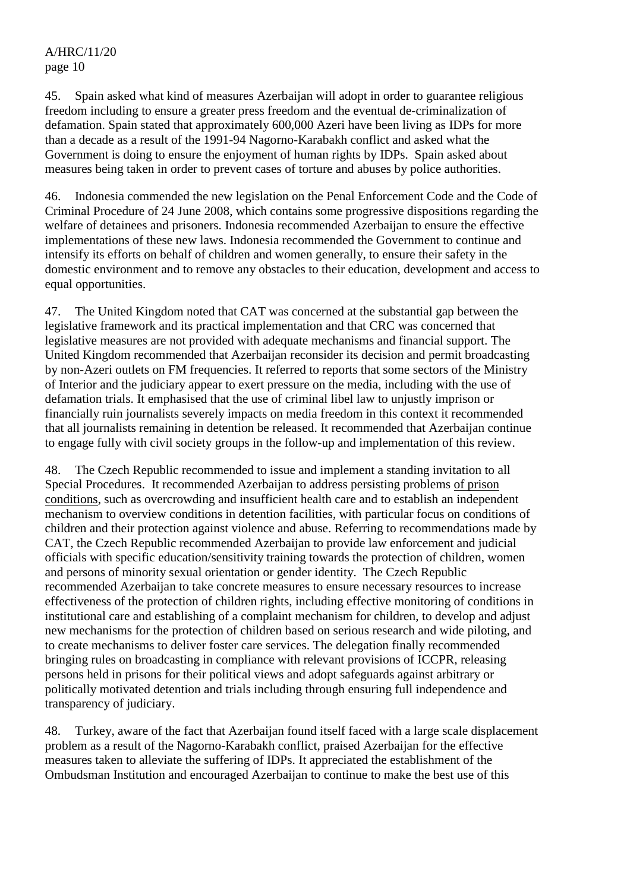45. Spain asked what kind of measures Azerbaijan will adopt in order to guarantee religious freedom including to ensure a greater press freedom and the eventual de-criminalization of defamation. Spain stated that approximately 600,000 Azeri have been living as IDPs for more than a decade as a result of the 1991-94 Nagorno-Karabakh conflict and asked what the Government is doing to ensure the enjoyment of human rights by IDPs. Spain asked about measures being taken in order to prevent cases of torture and abuses by police authorities.

46. Indonesia commended the new legislation on the Penal Enforcement Code and the Code of Criminal Procedure of 24 June 2008, which contains some progressive dispositions regarding the welfare of detainees and prisoners. Indonesia recommended Azerbaijan to ensure the effective implementations of these new laws. Indonesia recommended the Government to continue and intensify its efforts on behalf of children and women generally, to ensure their safety in the domestic environment and to remove any obstacles to their education, development and access to equal opportunities.

47. The United Kingdom noted that CAT was concerned at the substantial gap between the legislative framework and its practical implementation and that CRC was concerned that legislative measures are not provided with adequate mechanisms and financial support. The United Kingdom recommended that Azerbaijan reconsider its decision and permit broadcasting by non-Azeri outlets on FM frequencies. It referred to reports that some sectors of the Ministry of Interior and the judiciary appear to exert pressure on the media, including with the use of defamation trials. It emphasised that the use of criminal libel law to unjustly imprison or financially ruin journalists severely impacts on media freedom in this context it recommended that all journalists remaining in detention be released. It recommended that Azerbaijan continue to engage fully with civil society groups in the follow-up and implementation of this review.

48. The Czech Republic recommended to issue and implement a standing invitation to all Special Procedures. It recommended Azerbaijan to address persisting problems of prison conditions, such as overcrowding and insufficient health care and to establish an independent mechanism to overview conditions in detention facilities, with particular focus on conditions of children and their protection against violence and abuse. Referring to recommendations made by CAT, the Czech Republic recommended Azerbaijan to provide law enforcement and judicial officials with specific education/sensitivity training towards the protection of children, women and persons of minority sexual orientation or gender identity. The Czech Republic recommended Azerbaijan to take concrete measures to ensure necessary resources to increase effectiveness of the protection of children rights, including effective monitoring of conditions in institutional care and establishing of a complaint mechanism for children, to develop and adjust new mechanisms for the protection of children based on serious research and wide piloting, and to create mechanisms to deliver foster care services. The delegation finally recommended bringing rules on broadcasting in compliance with relevant provisions of ICCPR, releasing persons held in prisons for their political views and adopt safeguards against arbitrary or politically motivated detention and trials including through ensuring full independence and transparency of judiciary.

48. Turkey, aware of the fact that Azerbaijan found itself faced with a large scale displacement problem as a result of the Nagorno-Karabakh conflict, praised Azerbaijan for the effective measures taken to alleviate the suffering of IDPs. It appreciated the establishment of the Ombudsman Institution and encouraged Azerbaijan to continue to make the best use of this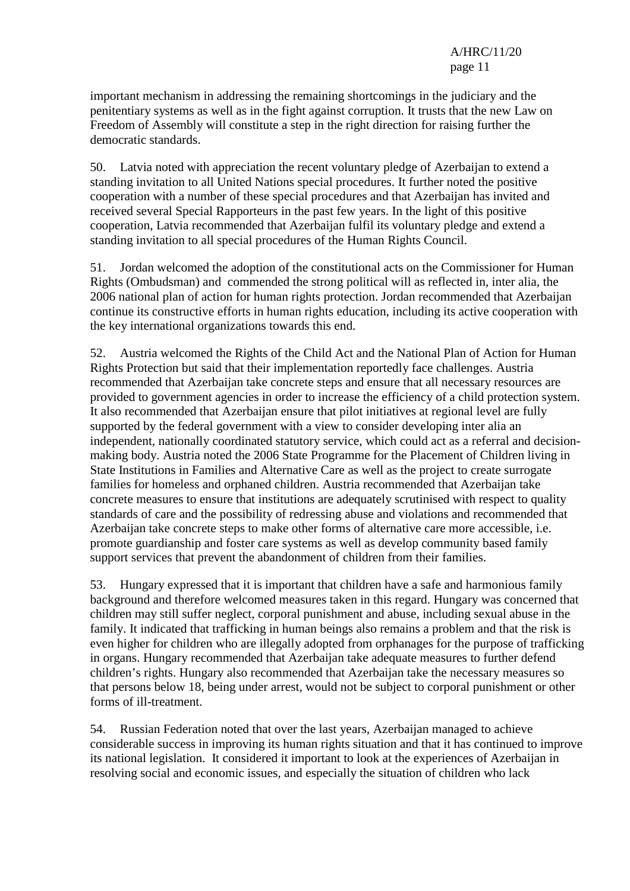important mechanism in addressing the remaining shortcomings in the judiciary and the penitentiary systems as well as in the fight against corruption. It trusts that the new Law on Freedom of Assembly will constitute a step in the right direction for raising further the democratic standards.

50. Latvia noted with appreciation the recent voluntary pledge of Azerbaijan to extend a standing invitation to all United Nations special procedures. It further noted the positive cooperation with a number of these special procedures and that Azerbaijan has invited and received several Special Rapporteurs in the past few years. In the light of this positive cooperation, Latvia recommended that Azerbaijan fulfil its voluntary pledge and extend a standing invitation to all special procedures of the Human Rights Council.

51. Jordan welcomed the adoption of the constitutional acts on the Commissioner for Human Rights (Ombudsman) and commended the strong political will as reflected in, inter alia, the 2006 national plan of action for human rights protection. Jordan recommended that Azerbaijan continue its constructive efforts in human rights education, including its active cooperation with the key international organizations towards this end.

52. Austria welcomed the Rights of the Child Act and the National Plan of Action for Human Rights Protection but said that their implementation reportedly face challenges. Austria recommended that Azerbaijan take concrete steps and ensure that all necessary resources are provided to government agencies in order to increase the efficiency of a child protection system. It also recommended that Azerbaijan ensure that pilot initiatives at regional level are fully supported by the federal government with a view to consider developing inter alia an independent, nationally coordinated statutory service, which could act as a referral and decisionmaking body. Austria noted the 2006 State Programme for the Placement of Children living in State Institutions in Families and Alternative Care as well as the project to create surrogate families for homeless and orphaned children. Austria recommended that Azerbaijan take concrete measures to ensure that institutions are adequately scrutinised with respect to quality standards of care and the possibility of redressing abuse and violations and recommended that Azerbaijan take concrete steps to make other forms of alternative care more accessible, i.e. promote guardianship and foster care systems as well as develop community based family support services that prevent the abandonment of children from their families.

53. Hungary expressed that it is important that children have a safe and harmonious family background and therefore welcomed measures taken in this regard. Hungary was concerned that children may still suffer neglect, corporal punishment and abuse, including sexual abuse in the family. It indicated that trafficking in human beings also remains a problem and that the risk is even higher for children who are illegally adopted from orphanages for the purpose of trafficking in organs. Hungary recommended that Azerbaijan take adequate measures to further defend children's rights. Hungary also recommended that Azerbaijan take the necessary measures so that persons below 18, being under arrest, would not be subject to corporal punishment or other forms of ill-treatment.

54. Russian Federation noted that over the last years, Azerbaijan managed to achieve considerable success in improving its human rights situation and that it has continued to improve its national legislation. It considered it important to look at the experiences of Azerbaijan in resolving social and economic issues, and especially the situation of children who lack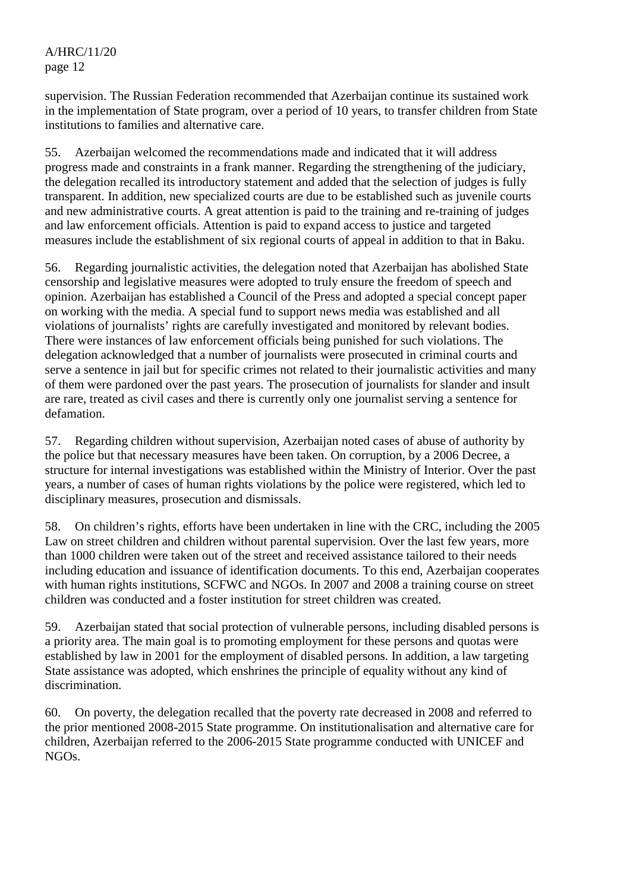supervision. The Russian Federation recommended that Azerbaijan continue its sustained work in the implementation of State program, over a period of 10 years, to transfer children from State institutions to families and alternative care.

55. Azerbaijan welcomed the recommendations made and indicated that it will address progress made and constraints in a frank manner. Regarding the strengthening of the judiciary, the delegation recalled its introductory statement and added that the selection of judges is fully transparent. In addition, new specialized courts are due to be established such as juvenile courts and new administrative courts. A great attention is paid to the training and re-training of judges and law enforcement officials. Attention is paid to expand access to justice and targeted measures include the establishment of six regional courts of appeal in addition to that in Baku.

56. Regarding journalistic activities, the delegation noted that Azerbaijan has abolished State censorship and legislative measures were adopted to truly ensure the freedom of speech and opinion. Azerbaijan has established a Council of the Press and adopted a special concept paper on working with the media. A special fund to support news media was established and all violations of journalists' rights are carefully investigated and monitored by relevant bodies. There were instances of law enforcement officials being punished for such violations. The delegation acknowledged that a number of journalists were prosecuted in criminal courts and serve a sentence in jail but for specific crimes not related to their journalistic activities and many of them were pardoned over the past years. The prosecution of journalists for slander and insult are rare, treated as civil cases and there is currently only one journalist serving a sentence for defamation.

57. Regarding children without supervision, Azerbaijan noted cases of abuse of authority by the police but that necessary measures have been taken. On corruption, by a 2006 Decree, a structure for internal investigations was established within the Ministry of Interior. Over the past years, a number of cases of human rights violations by the police were registered, which led to disciplinary measures, prosecution and dismissals.

58. On children's rights, efforts have been undertaken in line with the CRC, including the 2005 Law on street children and children without parental supervision. Over the last few years, more than 1000 children were taken out of the street and received assistance tailored to their needs including education and issuance of identification documents. To this end, Azerbaijan cooperates with human rights institutions, SCFWC and NGOs. In 2007 and 2008 a training course on street children was conducted and a foster institution for street children was created.

59. Azerbaijan stated that social protection of vulnerable persons, including disabled persons is a priority area. The main goal is to promoting employment for these persons and quotas were established by law in 2001 for the employment of disabled persons. In addition, a law targeting State assistance was adopted, which enshrines the principle of equality without any kind of discrimination.

60. On poverty, the delegation recalled that the poverty rate decreased in 2008 and referred to the prior mentioned 2008-2015 State programme. On institutionalisation and alternative care for children, Azerbaijan referred to the 2006-2015 State programme conducted with UNICEF and NGOs.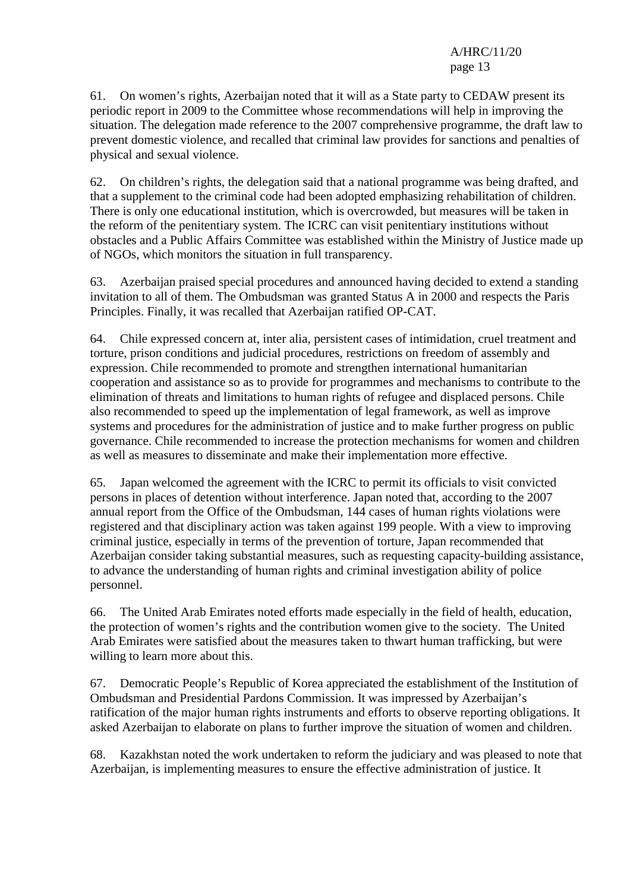61. On women's rights, Azerbaijan noted that it will as a State party to CEDAW present its periodic report in 2009 to the Committee whose recommendations will help in improving the situation. The delegation made reference to the 2007 comprehensive programme, the draft law to prevent domestic violence, and recalled that criminal law provides for sanctions and penalties of physical and sexual violence.

62. On children's rights, the delegation said that a national programme was being drafted, and that a supplement to the criminal code had been adopted emphasizing rehabilitation of children. There is only one educational institution, which is overcrowded, but measures will be taken in the reform of the penitentiary system. The ICRC can visit penitentiary institutions without obstacles and a Public Affairs Committee was established within the Ministry of Justice made up of NGOs, which monitors the situation in full transparency.

63. Azerbaijan praised special procedures and announced having decided to extend a standing invitation to all of them. The Ombudsman was granted Status A in 2000 and respects the Paris Principles. Finally, it was recalled that Azerbaijan ratified OP-CAT.

64. Chile expressed concern at, inter alia, persistent cases of intimidation, cruel treatment and torture, prison conditions and judicial procedures, restrictions on freedom of assembly and expression. Chile recommended to promote and strengthen international humanitarian cooperation and assistance so as to provide for programmes and mechanisms to contribute to the elimination of threats and limitations to human rights of refugee and displaced persons. Chile also recommended to speed up the implementation of legal framework, as well as improve systems and procedures for the administration of justice and to make further progress on public governance. Chile recommended to increase the protection mechanisms for women and children as well as measures to disseminate and make their implementation more effective.

65. Japan welcomed the agreement with the ICRC to permit its officials to visit convicted persons in places of detention without interference. Japan noted that, according to the 2007 annual report from the Office of the Ombudsman, 144 cases of human rights violations were registered and that disciplinary action was taken against 199 people. With a view to improving criminal justice, especially in terms of the prevention of torture, Japan recommended that Azerbaijan consider taking substantial measures, such as requesting capacity-building assistance, to advance the understanding of human rights and criminal investigation ability of police personnel.

66. The United Arab Emirates noted efforts made especially in the field of health, education, the protection of women's rights and the contribution women give to the society. The United Arab Emirates were satisfied about the measures taken to thwart human trafficking, but were willing to learn more about this.

67. Democratic People's Republic of Korea appreciated the establishment of the Institution of Ombudsman and Presidential Pardons Commission. It was impressed by Azerbaijan's ratification of the major human rights instruments and efforts to observe reporting obligations. It asked Azerbaijan to elaborate on plans to further improve the situation of women and children.

68. Kazakhstan noted the work undertaken to reform the judiciary and was pleased to note that Azerbaijan, is implementing measures to ensure the effective administration of justice. It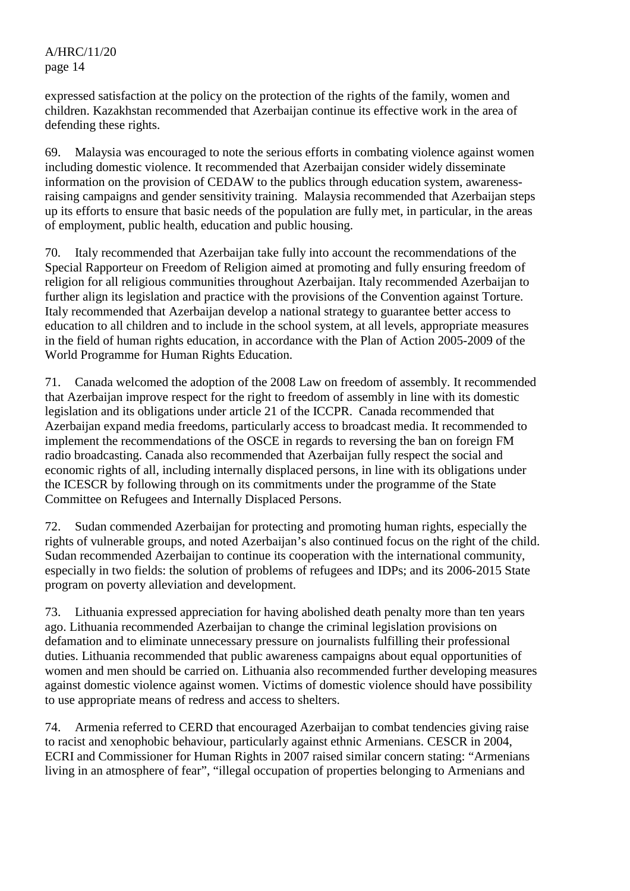expressed satisfaction at the policy on the protection of the rights of the family, women and children. Kazakhstan recommended that Azerbaijan continue its effective work in the area of defending these rights.

69. Malaysia was encouraged to note the serious efforts in combating violence against women including domestic violence. It recommended that Azerbaijan consider widely disseminate information on the provision of CEDAW to the publics through education system, awarenessraising campaigns and gender sensitivity training. Malaysia recommended that Azerbaijan steps up its efforts to ensure that basic needs of the population are fully met, in particular, in the areas of employment, public health, education and public housing.

70. Italy recommended that Azerbaijan take fully into account the recommendations of the Special Rapporteur on Freedom of Religion aimed at promoting and fully ensuring freedom of religion for all religious communities throughout Azerbaijan. Italy recommended Azerbaijan to further align its legislation and practice with the provisions of the Convention against Torture. Italy recommended that Azerbaijan develop a national strategy to guarantee better access to education to all children and to include in the school system, at all levels, appropriate measures in the field of human rights education, in accordance with the Plan of Action 2005-2009 of the World Programme for Human Rights Education.

71. Canada welcomed the adoption of the 2008 Law on freedom of assembly. It recommended that Azerbaijan improve respect for the right to freedom of assembly in line with its domestic legislation and its obligations under article 21 of the ICCPR. Canada recommended that Azerbaijan expand media freedoms, particularly access to broadcast media. It recommended to implement the recommendations of the OSCE in regards to reversing the ban on foreign FM radio broadcasting. Canada also recommended that Azerbaijan fully respect the social and economic rights of all, including internally displaced persons, in line with its obligations under the ICESCR by following through on its commitments under the programme of the State Committee on Refugees and Internally Displaced Persons.

72. Sudan commended Azerbaijan for protecting and promoting human rights, especially the rights of vulnerable groups, and noted Azerbaijan's also continued focus on the right of the child. Sudan recommended Azerbaijan to continue its cooperation with the international community, especially in two fields: the solution of problems of refugees and IDPs; and its 2006-2015 State program on poverty alleviation and development.

73. Lithuania expressed appreciation for having abolished death penalty more than ten years ago. Lithuania recommended Azerbaijan to change the criminal legislation provisions on defamation and to eliminate unnecessary pressure on journalists fulfilling their professional duties. Lithuania recommended that public awareness campaigns about equal opportunities of women and men should be carried on. Lithuania also recommended further developing measures against domestic violence against women. Victims of domestic violence should have possibility to use appropriate means of redress and access to shelters.

74. Armenia referred to CERD that encouraged Azerbaijan to combat tendencies giving raise to racist and xenophobic behaviour, particularly against ethnic Armenians. CESCR in 2004, ECRI and Commissioner for Human Rights in 2007 raised similar concern stating: "Armenians living in an atmosphere of fear", "illegal occupation of properties belonging to Armenians and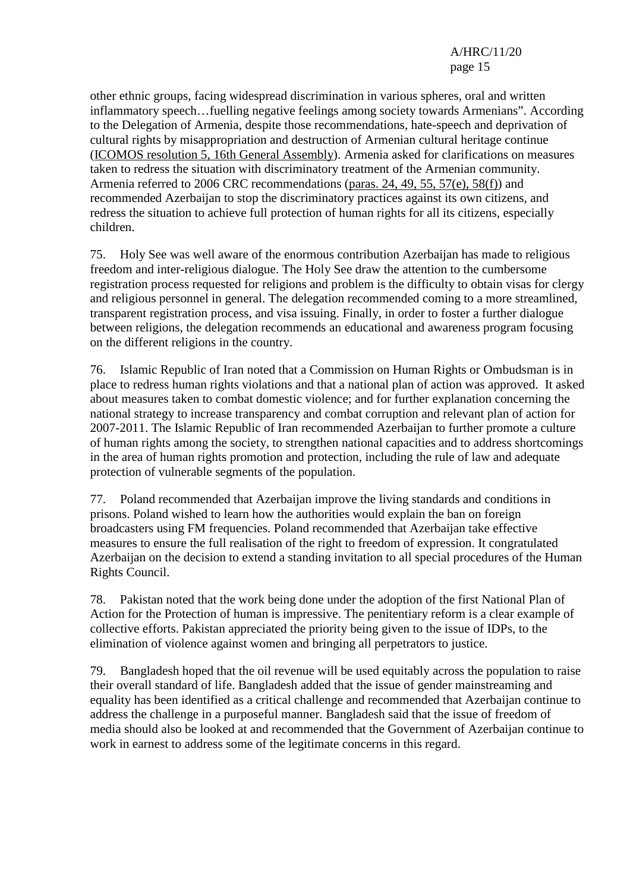other ethnic groups, facing widespread discrimination in various spheres, oral and written inflammatory speech…fuelling negative feelings among society towards Armenians". According to the Delegation of Armenia, despite those recommendations, hate-speech and deprivation of cultural rights by misappropriation and destruction of Armenian cultural heritage continue (ICOMOS resolution 5, 16th General Assembly). Armenia asked for clarifications on measures taken to redress the situation with discriminatory treatment of the Armenian community. Armenia referred to 2006 CRC recommendations (paras. 24, 49, 55, 57(e), 58(f)) and recommended Azerbaijan to stop the discriminatory practices against its own citizens, and redress the situation to achieve full protection of human rights for all its citizens, especially children.

75. Holy See was well aware of the enormous contribution Azerbaijan has made to religious freedom and inter-religious dialogue. The Holy See draw the attention to the cumbersome registration process requested for religions and problem is the difficulty to obtain visas for clergy and religious personnel in general. The delegation recommended coming to a more streamlined, transparent registration process, and visa issuing. Finally, in order to foster a further dialogue between religions, the delegation recommends an educational and awareness program focusing on the different religions in the country.

76. Islamic Republic of Iran noted that a Commission on Human Rights or Ombudsman is in place to redress human rights violations and that a national plan of action was approved. It asked about measures taken to combat domestic violence; and for further explanation concerning the national strategy to increase transparency and combat corruption and relevant plan of action for 2007-2011. The Islamic Republic of Iran recommended Azerbaijan to further promote a culture of human rights among the society, to strengthen national capacities and to address shortcomings in the area of human rights promotion and protection, including the rule of law and adequate protection of vulnerable segments of the population.

77. Poland recommended that Azerbaijan improve the living standards and conditions in prisons. Poland wished to learn how the authorities would explain the ban on foreign broadcasters using FM frequencies. Poland recommended that Azerbaijan take effective measures to ensure the full realisation of the right to freedom of expression. It congratulated Azerbaijan on the decision to extend a standing invitation to all special procedures of the Human Rights Council.

78. Pakistan noted that the work being done under the adoption of the first National Plan of Action for the Protection of human is impressive. The penitentiary reform is a clear example of collective efforts. Pakistan appreciated the priority being given to the issue of IDPs, to the elimination of violence against women and bringing all perpetrators to justice.

79. Bangladesh hoped that the oil revenue will be used equitably across the population to raise their overall standard of life. Bangladesh added that the issue of gender mainstreaming and equality has been identified as a critical challenge and recommended that Azerbaijan continue to address the challenge in a purposeful manner. Bangladesh said that the issue of freedom of media should also be looked at and recommended that the Government of Azerbaijan continue to work in earnest to address some of the legitimate concerns in this regard.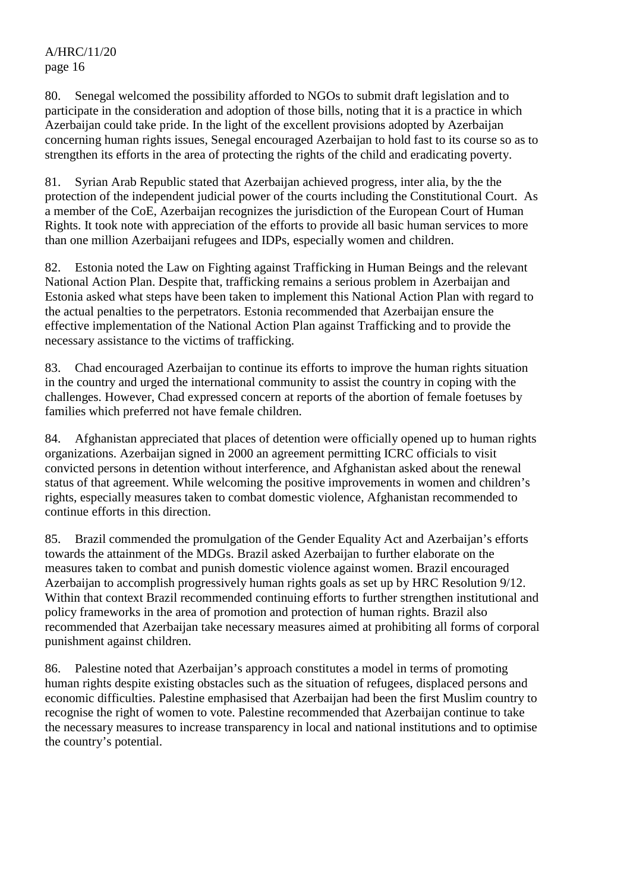80. Senegal welcomed the possibility afforded to NGOs to submit draft legislation and to participate in the consideration and adoption of those bills, noting that it is a practice in which Azerbaijan could take pride. In the light of the excellent provisions adopted by Azerbaijan concerning human rights issues, Senegal encouraged Azerbaijan to hold fast to its course so as to strengthen its efforts in the area of protecting the rights of the child and eradicating poverty.

81. Syrian Arab Republic stated that Azerbaijan achieved progress, inter alia, by the the protection of the independent judicial power of the courts including the Constitutional Court. As a member of the CoE, Azerbaijan recognizes the jurisdiction of the European Court of Human Rights. It took note with appreciation of the efforts to provide all basic human services to more than one million Azerbaijani refugees and IDPs, especially women and children.

82. Estonia noted the Law on Fighting against Trafficking in Human Beings and the relevant National Action Plan. Despite that, trafficking remains a serious problem in Azerbaijan and Estonia asked what steps have been taken to implement this National Action Plan with regard to the actual penalties to the perpetrators. Estonia recommended that Azerbaijan ensure the effective implementation of the National Action Plan against Trafficking and to provide the necessary assistance to the victims of trafficking.

83. Chad encouraged Azerbaijan to continue its efforts to improve the human rights situation in the country and urged the international community to assist the country in coping with the challenges. However, Chad expressed concern at reports of the abortion of female foetuses by families which preferred not have female children.

84. Afghanistan appreciated that places of detention were officially opened up to human rights organizations. Azerbaijan signed in 2000 an agreement permitting ICRC officials to visit convicted persons in detention without interference, and Afghanistan asked about the renewal status of that agreement. While welcoming the positive improvements in women and children's rights, especially measures taken to combat domestic violence, Afghanistan recommended to continue efforts in this direction.

85. Brazil commended the promulgation of the Gender Equality Act and Azerbaijan's efforts towards the attainment of the MDGs. Brazil asked Azerbaijan to further elaborate on the measures taken to combat and punish domestic violence against women. Brazil encouraged Azerbaijan to accomplish progressively human rights goals as set up by HRC Resolution 9/12. Within that context Brazil recommended continuing efforts to further strengthen institutional and policy frameworks in the area of promotion and protection of human rights. Brazil also recommended that Azerbaijan take necessary measures aimed at prohibiting all forms of corporal punishment against children.

86. Palestine noted that Azerbaijan's approach constitutes a model in terms of promoting human rights despite existing obstacles such as the situation of refugees, displaced persons and economic difficulties. Palestine emphasised that Azerbaijan had been the first Muslim country to recognise the right of women to vote. Palestine recommended that Azerbaijan continue to take the necessary measures to increase transparency in local and national institutions and to optimise the country's potential.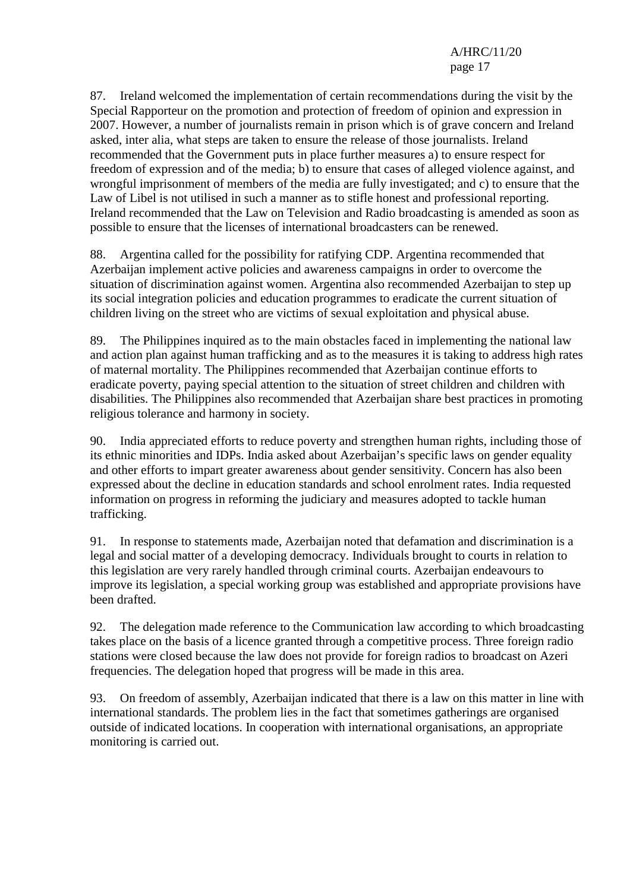87. Ireland welcomed the implementation of certain recommendations during the visit by the Special Rapporteur on the promotion and protection of freedom of opinion and expression in 2007. However, a number of journalists remain in prison which is of grave concern and Ireland asked, inter alia, what steps are taken to ensure the release of those journalists. Ireland recommended that the Government puts in place further measures a) to ensure respect for freedom of expression and of the media; b) to ensure that cases of alleged violence against, and wrongful imprisonment of members of the media are fully investigated; and c) to ensure that the Law of Libel is not utilised in such a manner as to stifle honest and professional reporting. Ireland recommended that the Law on Television and Radio broadcasting is amended as soon as possible to ensure that the licenses of international broadcasters can be renewed.

88. Argentina called for the possibility for ratifying CDP. Argentina recommended that Azerbaijan implement active policies and awareness campaigns in order to overcome the situation of discrimination against women. Argentina also recommended Azerbaijan to step up its social integration policies and education programmes to eradicate the current situation of children living on the street who are victims of sexual exploitation and physical abuse.

89. The Philippines inquired as to the main obstacles faced in implementing the national law and action plan against human trafficking and as to the measures it is taking to address high rates of maternal mortality. The Philippines recommended that Azerbaijan continue efforts to eradicate poverty, paying special attention to the situation of street children and children with disabilities. The Philippines also recommended that Azerbaijan share best practices in promoting religious tolerance and harmony in society.

90. India appreciated efforts to reduce poverty and strengthen human rights, including those of its ethnic minorities and IDPs. India asked about Azerbaijan's specific laws on gender equality and other efforts to impart greater awareness about gender sensitivity. Concern has also been expressed about the decline in education standards and school enrolment rates. India requested information on progress in reforming the judiciary and measures adopted to tackle human trafficking.

91. In response to statements made, Azerbaijan noted that defamation and discrimination is a legal and social matter of a developing democracy. Individuals brought to courts in relation to this legislation are very rarely handled through criminal courts. Azerbaijan endeavours to improve its legislation, a special working group was established and appropriate provisions have been drafted.

92. The delegation made reference to the Communication law according to which broadcasting takes place on the basis of a licence granted through a competitive process. Three foreign radio stations were closed because the law does not provide for foreign radios to broadcast on Azeri frequencies. The delegation hoped that progress will be made in this area.

93. On freedom of assembly, Azerbaijan indicated that there is a law on this matter in line with international standards. The problem lies in the fact that sometimes gatherings are organised outside of indicated locations. In cooperation with international organisations, an appropriate monitoring is carried out.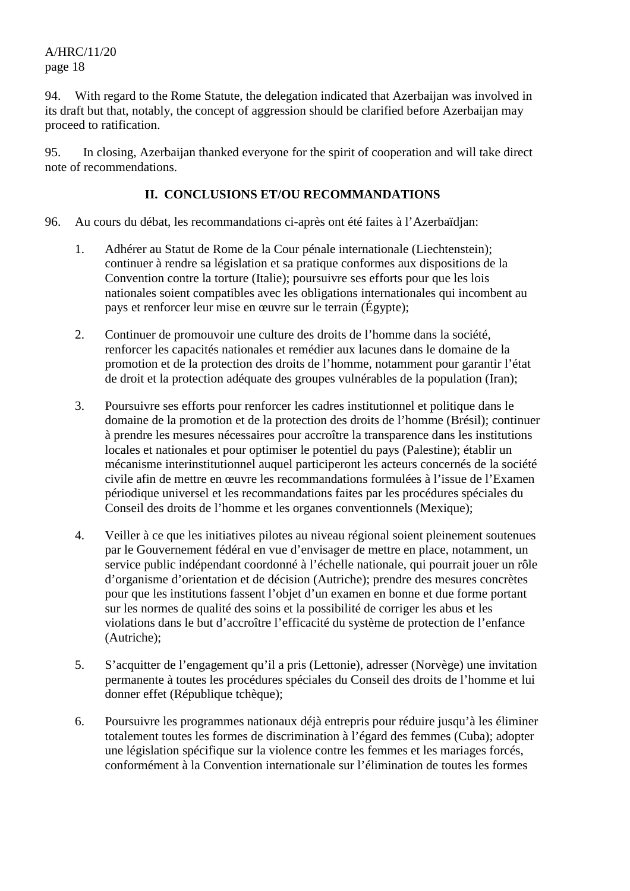94. With regard to the Rome Statute, the delegation indicated that Azerbaijan was involved in its draft but that, notably, the concept of aggression should be clarified before Azerbaijan may proceed to ratification.

95. In closing, Azerbaijan thanked everyone for the spirit of cooperation and will take direct note of recommendations.

### **II. CONCLUSIONS ET/OU RECOMMANDATIONS**

- 96. Au cours du débat, les recommandations ci-après ont été faites à l'Azerbaïdjan:
	- 1. Adhérer au Statut de Rome de la Cour pénale internationale (Liechtenstein); continuer à rendre sa législation et sa pratique conformes aux dispositions de la Convention contre la torture (Italie); poursuivre ses efforts pour que les lois nationales soient compatibles avec les obligations internationales qui incombent au pays et renforcer leur mise en œuvre sur le terrain (Égypte);
	- 2. Continuer de promouvoir une culture des droits de l'homme dans la société, renforcer les capacités nationales et remédier aux lacunes dans le domaine de la promotion et de la protection des droits de l'homme, notamment pour garantir l'état de droit et la protection adéquate des groupes vulnérables de la population (Iran);
	- 3. Poursuivre ses efforts pour renforcer les cadres institutionnel et politique dans le domaine de la promotion et de la protection des droits de l'homme (Brésil); continuer à prendre les mesures nécessaires pour accroître la transparence dans les institutions locales et nationales et pour optimiser le potentiel du pays (Palestine); établir un mécanisme interinstitutionnel auquel participeront les acteurs concernés de la société civile afin de mettre en œuvre les recommandations formulées à l'issue de l'Examen périodique universel et les recommandations faites par les procédures spéciales du Conseil des droits de l'homme et les organes conventionnels (Mexique);
	- 4. Veiller à ce que les initiatives pilotes au niveau régional soient pleinement soutenues par le Gouvernement fédéral en vue d'envisager de mettre en place, notamment, un service public indépendant coordonné à l'échelle nationale, qui pourrait jouer un rôle d'organisme d'orientation et de décision (Autriche); prendre des mesures concrètes pour que les institutions fassent l'objet d'un examen en bonne et due forme portant sur les normes de qualité des soins et la possibilité de corriger les abus et les violations dans le but d'accroître l'efficacité du système de protection de l'enfance (Autriche);
	- 5. S'acquitter de l'engagement qu'il a pris (Lettonie), adresser (Norvège) une invitation permanente à toutes les procédures spéciales du Conseil des droits de l'homme et lui donner effet (République tchèque);
	- 6. Poursuivre les programmes nationaux déjà entrepris pour réduire jusqu'à les éliminer totalement toutes les formes de discrimination à l'égard des femmes (Cuba); adopter une législation spécifique sur la violence contre les femmes et les mariages forcés, conformément à la Convention internationale sur l'élimination de toutes les formes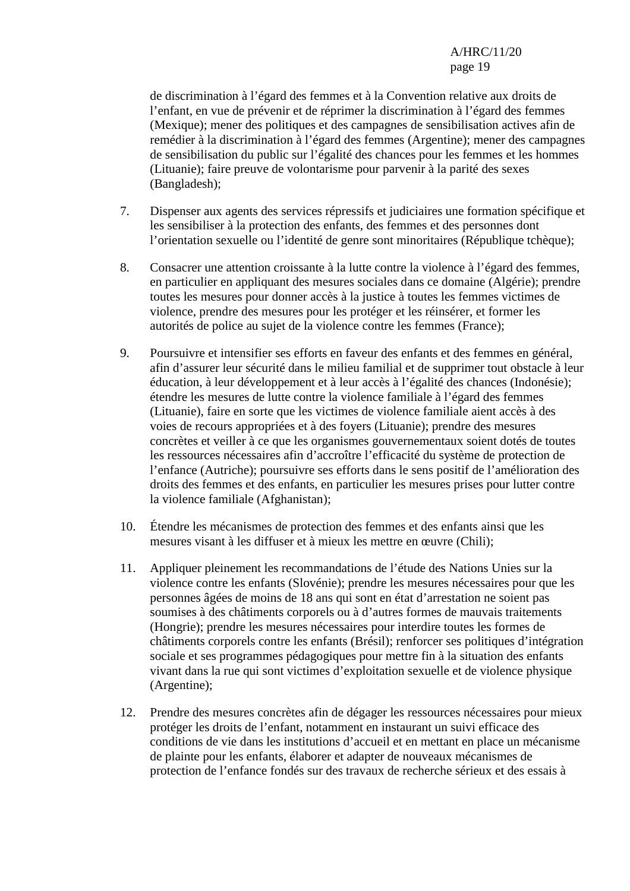de discrimination à l'égard des femmes et à la Convention relative aux droits de l'enfant, en vue de prévenir et de réprimer la discrimination à l'égard des femmes (Mexique); mener des politiques et des campagnes de sensibilisation actives afin de remédier à la discrimination à l'égard des femmes (Argentine); mener des campagnes de sensibilisation du public sur l'égalité des chances pour les femmes et les hommes (Lituanie); faire preuve de volontarisme pour parvenir à la parité des sexes (Bangladesh);

- 7. Dispenser aux agents des services répressifs et judiciaires une formation spécifique et les sensibiliser à la protection des enfants, des femmes et des personnes dont l'orientation sexuelle ou l'identité de genre sont minoritaires (République tchèque);
- 8. Consacrer une attention croissante à la lutte contre la violence à l'égard des femmes, en particulier en appliquant des mesures sociales dans ce domaine (Algérie); prendre toutes les mesures pour donner accès à la justice à toutes les femmes victimes de violence, prendre des mesures pour les protéger et les réinsérer, et former les autorités de police au sujet de la violence contre les femmes (France);
- 9. Poursuivre et intensifier ses efforts en faveur des enfants et des femmes en général, afin d'assurer leur sécurité dans le milieu familial et de supprimer tout obstacle à leur éducation, à leur développement et à leur accès à l'égalité des chances (Indonésie); étendre les mesures de lutte contre la violence familiale à l'égard des femmes (Lituanie), faire en sorte que les victimes de violence familiale aient accès à des voies de recours appropriées et à des foyers (Lituanie); prendre des mesures concrètes et veiller à ce que les organismes gouvernementaux soient dotés de toutes les ressources nécessaires afin d'accroître l'efficacité du système de protection de l'enfance (Autriche); poursuivre ses efforts dans le sens positif de l'amélioration des droits des femmes et des enfants, en particulier les mesures prises pour lutter contre la violence familiale (Afghanistan);
- 10. Étendre les mécanismes de protection des femmes et des enfants ainsi que les mesures visant à les diffuser et à mieux les mettre en œuvre (Chili);
- 11. Appliquer pleinement les recommandations de l'étude des Nations Unies sur la violence contre les enfants (Slovénie); prendre les mesures nécessaires pour que les personnes âgées de moins de 18 ans qui sont en état d'arrestation ne soient pas soumises à des châtiments corporels ou à d'autres formes de mauvais traitements (Hongrie); prendre les mesures nécessaires pour interdire toutes les formes de châtiments corporels contre les enfants (Brésil); renforcer ses politiques d'intégration sociale et ses programmes pédagogiques pour mettre fin à la situation des enfants vivant dans la rue qui sont victimes d'exploitation sexuelle et de violence physique (Argentine);
- 12. Prendre des mesures concrètes afin de dégager les ressources nécessaires pour mieux protéger les droits de l'enfant, notamment en instaurant un suivi efficace des conditions de vie dans les institutions d'accueil et en mettant en place un mécanisme de plainte pour les enfants, élaborer et adapter de nouveaux mécanismes de protection de l'enfance fondés sur des travaux de recherche sérieux et des essais à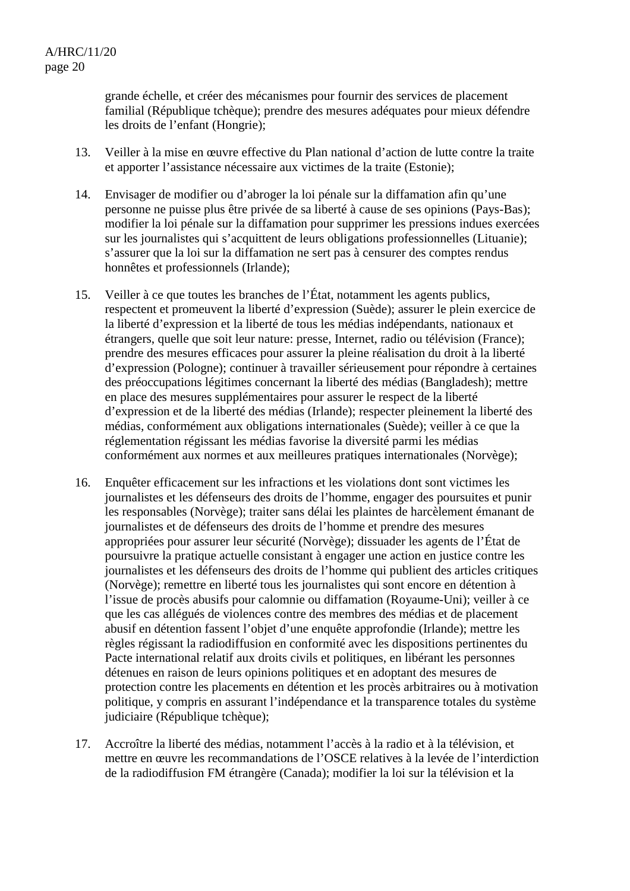grande échelle, et créer des mécanismes pour fournir des services de placement familial (République tchèque); prendre des mesures adéquates pour mieux défendre les droits de l'enfant (Hongrie);

- 13. Veiller à la mise en œuvre effective du Plan national d'action de lutte contre la traite et apporter l'assistance nécessaire aux victimes de la traite (Estonie);
- 14. Envisager de modifier ou d'abroger la loi pénale sur la diffamation afin qu'une personne ne puisse plus être privée de sa liberté à cause de ses opinions (Pays-Bas); modifier la loi pénale sur la diffamation pour supprimer les pressions indues exercées sur les journalistes qui s'acquittent de leurs obligations professionnelles (Lituanie); s'assurer que la loi sur la diffamation ne sert pas à censurer des comptes rendus honnêtes et professionnels (Irlande);
- 15. Veiller à ce que toutes les branches de l'État, notamment les agents publics, respectent et promeuvent la liberté d'expression (Suède); assurer le plein exercice de la liberté d'expression et la liberté de tous les médias indépendants, nationaux et étrangers, quelle que soit leur nature: presse, Internet, radio ou télévision (France); prendre des mesures efficaces pour assurer la pleine réalisation du droit à la liberté d'expression (Pologne); continuer à travailler sérieusement pour répondre à certaines des préoccupations légitimes concernant la liberté des médias (Bangladesh); mettre en place des mesures supplémentaires pour assurer le respect de la liberté d'expression et de la liberté des médias (Irlande); respecter pleinement la liberté des médias, conformément aux obligations internationales (Suède); veiller à ce que la réglementation régissant les médias favorise la diversité parmi les médias conformément aux normes et aux meilleures pratiques internationales (Norvège);
- 16. Enquêter efficacement sur les infractions et les violations dont sont victimes les journalistes et les défenseurs des droits de l'homme, engager des poursuites et punir les responsables (Norvège); traiter sans délai les plaintes de harcèlement émanant de journalistes et de défenseurs des droits de l'homme et prendre des mesures appropriées pour assurer leur sécurité (Norvège); dissuader les agents de l'État de poursuivre la pratique actuelle consistant à engager une action en justice contre les journalistes et les défenseurs des droits de l'homme qui publient des articles critiques (Norvège); remettre en liberté tous les journalistes qui sont encore en détention à l'issue de procès abusifs pour calomnie ou diffamation (Royaume-Uni); veiller à ce que les cas allégués de violences contre des membres des médias et de placement abusif en détention fassent l'objet d'une enquête approfondie (Irlande); mettre les règles régissant la radiodiffusion en conformité avec les dispositions pertinentes du Pacte international relatif aux droits civils et politiques, en libérant les personnes détenues en raison de leurs opinions politiques et en adoptant des mesures de protection contre les placements en détention et les procès arbitraires ou à motivation politique, y compris en assurant l'indépendance et la transparence totales du système judiciaire (République tchèque);
- 17. Accroître la liberté des médias, notamment l'accès à la radio et à la télévision, et mettre en œuvre les recommandations de l'OSCE relatives à la levée de l'interdiction de la radiodiffusion FM étrangère (Canada); modifier la loi sur la télévision et la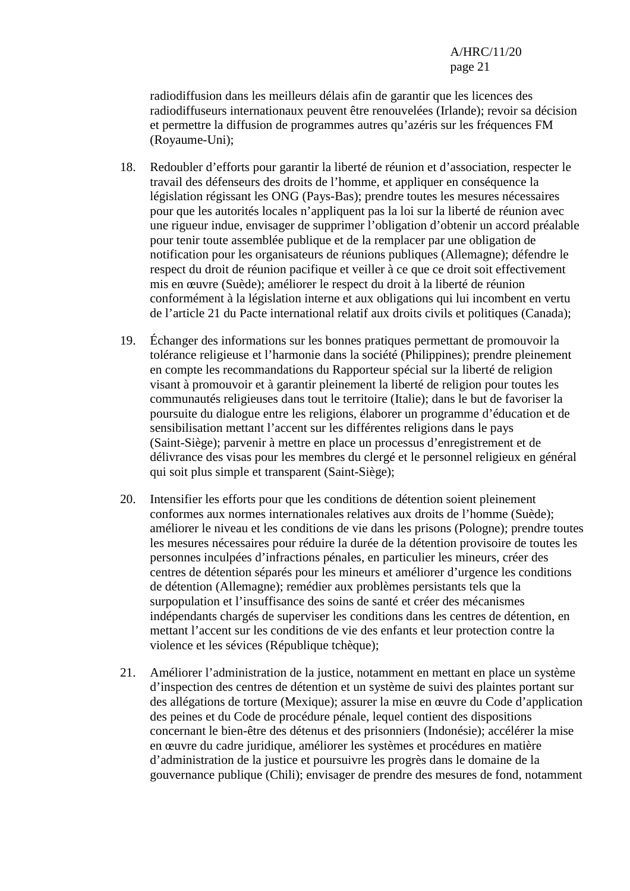radiodiffusion dans les meilleurs délais afin de garantir que les licences des radiodiffuseurs internationaux peuvent être renouvelées (Irlande); revoir sa décision et permettre la diffusion de programmes autres qu'azéris sur les fréquences FM (Royaume-Uni);

- 18. Redoubler d'efforts pour garantir la liberté de réunion et d'association, respecter le travail des défenseurs des droits de l'homme, et appliquer en conséquence la législation régissant les ONG (Pays-Bas); prendre toutes les mesures nécessaires pour que les autorités locales n'appliquent pas la loi sur la liberté de réunion avec une rigueur indue, envisager de supprimer l'obligation d'obtenir un accord préalable pour tenir toute assemblée publique et de la remplacer par une obligation de notification pour les organisateurs de réunions publiques (Allemagne); défendre le respect du droit de réunion pacifique et veiller à ce que ce droit soit effectivement mis en œuvre (Suède); améliorer le respect du droit à la liberté de réunion conformément à la législation interne et aux obligations qui lui incombent en vertu de l'article 21 du Pacte international relatif aux droits civils et politiques (Canada);
- 19. Échanger des informations sur les bonnes pratiques permettant de promouvoir la tolérance religieuse et l'harmonie dans la société (Philippines); prendre pleinement en compte les recommandations du Rapporteur spécial sur la liberté de religion visant à promouvoir et à garantir pleinement la liberté de religion pour toutes les communautés religieuses dans tout le territoire (Italie); dans le but de favoriser la poursuite du dialogue entre les religions, élaborer un programme d'éducation et de sensibilisation mettant l'accent sur les différentes religions dans le pays (Saint-Siège); parvenir à mettre en place un processus d'enregistrement et de délivrance des visas pour les membres du clergé et le personnel religieux en général qui soit plus simple et transparent (Saint-Siège);
- 20. Intensifier les efforts pour que les conditions de détention soient pleinement conformes aux normes internationales relatives aux droits de l'homme (Suède); améliorer le niveau et les conditions de vie dans les prisons (Pologne); prendre toutes les mesures nécessaires pour réduire la durée de la détention provisoire de toutes les personnes inculpées d'infractions pénales, en particulier les mineurs, créer des centres de détention séparés pour les mineurs et améliorer d'urgence les conditions de détention (Allemagne); remédier aux problèmes persistants tels que la surpopulation et l'insuffisance des soins de santé et créer des mécanismes indépendants chargés de superviser les conditions dans les centres de détention, en mettant l'accent sur les conditions de vie des enfants et leur protection contre la violence et les sévices (République tchèque);
- 21. Améliorer l'administration de la justice, notamment en mettant en place un système d'inspection des centres de détention et un système de suivi des plaintes portant sur des allégations de torture (Mexique); assurer la mise en œuvre du Code d'application des peines et du Code de procédure pénale, lequel contient des dispositions concernant le bien-être des détenus et des prisonniers (Indonésie); accélérer la mise en œuvre du cadre juridique, améliorer les systèmes et procédures en matière d'administration de la justice et poursuivre les progrès dans le domaine de la gouvernance publique (Chili); envisager de prendre des mesures de fond, notamment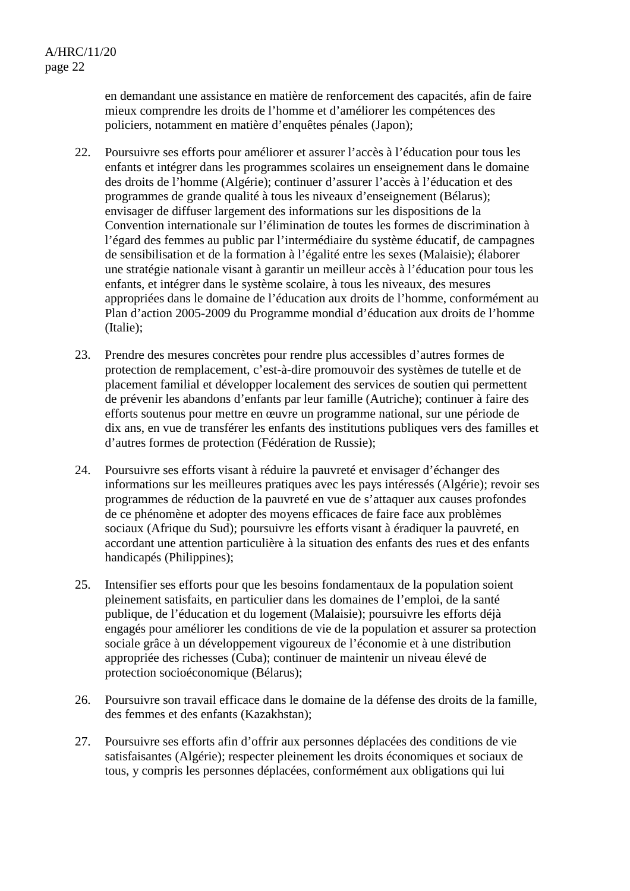en demandant une assistance en matière de renforcement des capacités, afin de faire mieux comprendre les droits de l'homme et d'améliorer les compétences des policiers, notamment en matière d'enquêtes pénales (Japon);

- 22. Poursuivre ses efforts pour améliorer et assurer l'accès à l'éducation pour tous les enfants et intégrer dans les programmes scolaires un enseignement dans le domaine des droits de l'homme (Algérie); continuer d'assurer l'accès à l'éducation et des programmes de grande qualité à tous les niveaux d'enseignement (Bélarus); envisager de diffuser largement des informations sur les dispositions de la Convention internationale sur l'élimination de toutes les formes de discrimination à l'égard des femmes au public par l'intermédiaire du système éducatif, de campagnes de sensibilisation et de la formation à l'égalité entre les sexes (Malaisie); élaborer une stratégie nationale visant à garantir un meilleur accès à l'éducation pour tous les enfants, et intégrer dans le système scolaire, à tous les niveaux, des mesures appropriées dans le domaine de l'éducation aux droits de l'homme, conformément au Plan d'action 2005-2009 du Programme mondial d'éducation aux droits de l'homme (Italie);
- 23. Prendre des mesures concrètes pour rendre plus accessibles d'autres formes de protection de remplacement, c'est-à-dire promouvoir des systèmes de tutelle et de placement familial et développer localement des services de soutien qui permettent de prévenir les abandons d'enfants par leur famille (Autriche); continuer à faire des efforts soutenus pour mettre en œuvre un programme national, sur une période de dix ans, en vue de transférer les enfants des institutions publiques vers des familles et d'autres formes de protection (Fédération de Russie);
- 24. Poursuivre ses efforts visant à réduire la pauvreté et envisager d'échanger des informations sur les meilleures pratiques avec les pays intéressés (Algérie); revoir ses programmes de réduction de la pauvreté en vue de s'attaquer aux causes profondes de ce phénomène et adopter des moyens efficaces de faire face aux problèmes sociaux (Afrique du Sud); poursuivre les efforts visant à éradiquer la pauvreté, en accordant une attention particulière à la situation des enfants des rues et des enfants handicapés (Philippines);
- 25. Intensifier ses efforts pour que les besoins fondamentaux de la population soient pleinement satisfaits, en particulier dans les domaines de l'emploi, de la santé publique, de l'éducation et du logement (Malaisie); poursuivre les efforts déjà engagés pour améliorer les conditions de vie de la population et assurer sa protection sociale grâce à un développement vigoureux de l'économie et à une distribution appropriée des richesses (Cuba); continuer de maintenir un niveau élevé de protection socioéconomique (Bélarus);
- 26. Poursuivre son travail efficace dans le domaine de la défense des droits de la famille, des femmes et des enfants (Kazakhstan);
- 27. Poursuivre ses efforts afin d'offrir aux personnes déplacées des conditions de vie satisfaisantes (Algérie); respecter pleinement les droits économiques et sociaux de tous, y compris les personnes déplacées, conformément aux obligations qui lui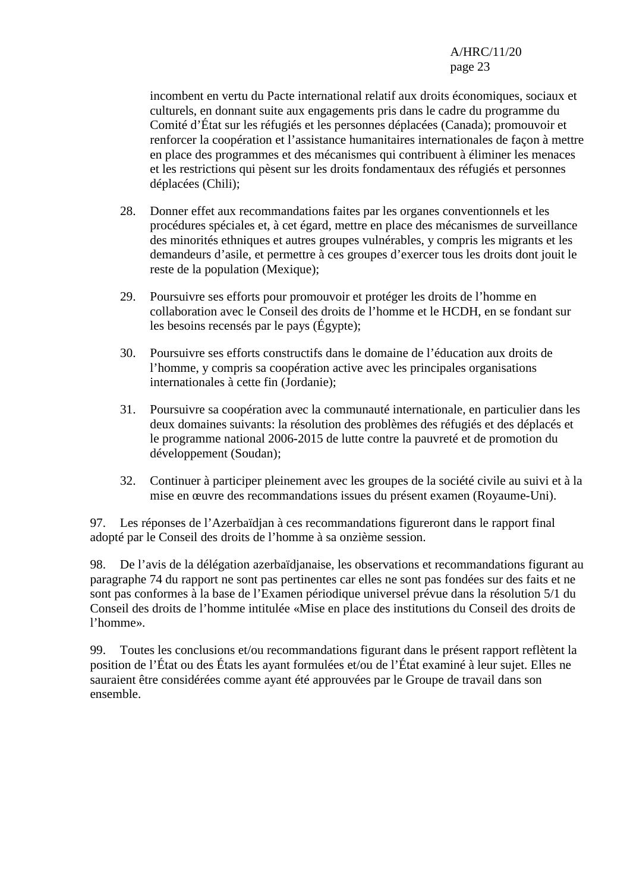> incombent en vertu du Pacte international relatif aux droits économiques, sociaux et culturels, en donnant suite aux engagements pris dans le cadre du programme du Comité d'État sur les réfugiés et les personnes déplacées (Canada); promouvoir et renforcer la coopération et l'assistance humanitaires internationales de façon à mettre en place des programmes et des mécanismes qui contribuent à éliminer les menaces et les restrictions qui pèsent sur les droits fondamentaux des réfugiés et personnes déplacées (Chili);

- 28. Donner effet aux recommandations faites par les organes conventionnels et les procédures spéciales et, à cet égard, mettre en place des mécanismes de surveillance des minorités ethniques et autres groupes vulnérables, y compris les migrants et les demandeurs d'asile, et permettre à ces groupes d'exercer tous les droits dont jouit le reste de la population (Mexique);
- 29. Poursuivre ses efforts pour promouvoir et protéger les droits de l'homme en collaboration avec le Conseil des droits de l'homme et le HCDH, en se fondant sur les besoins recensés par le pays (Égypte);
- 30. Poursuivre ses efforts constructifs dans le domaine de l'éducation aux droits de l'homme, y compris sa coopération active avec les principales organisations internationales à cette fin (Jordanie);
- 31. Poursuivre sa coopération avec la communauté internationale, en particulier dans les deux domaines suivants: la résolution des problèmes des réfugiés et des déplacés et le programme national 2006-2015 de lutte contre la pauvreté et de promotion du développement (Soudan);
- 32. Continuer à participer pleinement avec les groupes de la société civile au suivi et à la mise en œuvre des recommandations issues du présent examen (Royaume-Uni).

97. Les réponses de l'Azerbaïdjan à ces recommandations figureront dans le rapport final adopté par le Conseil des droits de l'homme à sa onzième session.

98. De l'avis de la délégation azerbaïdjanaise, les observations et recommandations figurant au paragraphe 74 du rapport ne sont pas pertinentes car elles ne sont pas fondées sur des faits et ne sont pas conformes à la base de l'Examen périodique universel prévue dans la résolution 5/1 du Conseil des droits de l'homme intitulée «Mise en place des institutions du Conseil des droits de l'homme».

99. Toutes les conclusions et/ou recommandations figurant dans le présent rapport reflètent la position de l'État ou des États les ayant formulées et/ou de l'État examiné à leur sujet. Elles ne sauraient être considérées comme ayant été approuvées par le Groupe de travail dans son ensemble.